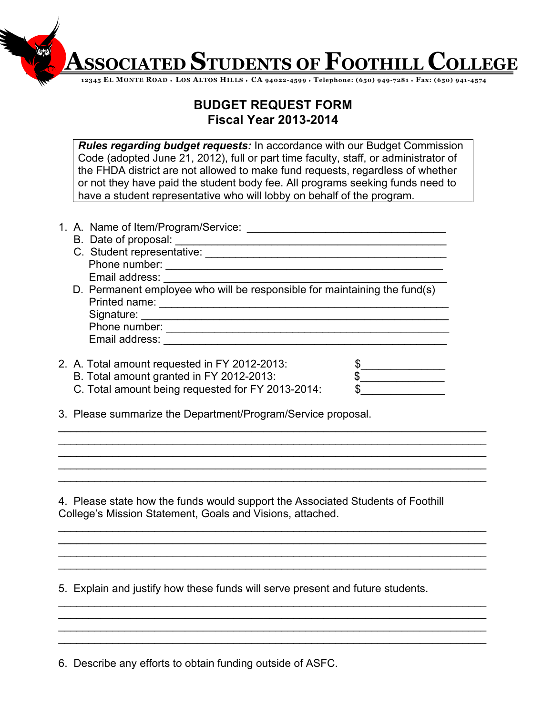**ASSOCIATED STUDENTS OF FOOTHILL COLLEGE**

**12345 EL MONTE ROAD** ♦ **LOS ALTOS HILLS** ♦ **CA 94022-4599** ♦ **Telephone: (650) 949-7281** ♦ **Fax: (650) 941-4574**

## **BUDGET REQUEST FORM Fiscal Year 2013-2014**

*Rules regarding budget requests:* In accordance with our Budget Commission Code (adopted June 21, 2012), full or part time faculty, staff, or administrator of the FHDA district are not allowed to make fund requests, regardless of whether or not they have paid the student body fee. All programs seeking funds need to have a student representative who will lobby on behalf of the program.

|  | 1. A. Name of Item/Program/Service:                                       |  |
|--|---------------------------------------------------------------------------|--|
|  | B. Date of proposal:                                                      |  |
|  | C. Student representative:                                                |  |
|  | Phone number:                                                             |  |
|  | Email address:                                                            |  |
|  | D. Permanent employee who will be responsible for maintaining the fund(s) |  |
|  | Printed name:                                                             |  |
|  | Signature:                                                                |  |
|  | Phone number:                                                             |  |
|  | Email address:                                                            |  |
|  |                                                                           |  |
|  | 2. A. Total amount requested in FY 2012-2013:                             |  |
|  | B. Total amount granted in FY 2012-2013:                                  |  |
|  | C. Total amount being requested for FY 2013-2014:                         |  |

3. Please summarize the Department/Program/Service proposal.

4. Please state how the funds would support the Associated Students of Foothill College's Mission Statement, Goals and Visions, attached.

 $\_$  $\_$ \_\_\_\_\_\_\_\_\_\_\_\_\_\_\_\_\_\_\_\_\_\_\_\_\_\_\_\_\_\_\_\_\_\_\_\_\_\_\_\_\_\_\_\_\_\_\_\_\_\_\_\_\_\_\_\_\_\_\_\_\_\_\_\_\_\_\_\_\_\_\_  $\_$  $\_$ 

 $\_$  $\_$ \_\_\_\_\_\_\_\_\_\_\_\_\_\_\_\_\_\_\_\_\_\_\_\_\_\_\_\_\_\_\_\_\_\_\_\_\_\_\_\_\_\_\_\_\_\_\_\_\_\_\_\_\_\_\_\_\_\_\_\_\_\_\_\_\_\_\_\_\_\_\_  $\_$ 

 $\_$  $\_$  $\_$ \_\_\_\_\_\_\_\_\_\_\_\_\_\_\_\_\_\_\_\_\_\_\_\_\_\_\_\_\_\_\_\_\_\_\_\_\_\_\_\_\_\_\_\_\_\_\_\_\_\_\_\_\_\_\_\_\_\_\_\_\_\_\_\_\_\_\_\_\_\_\_

5. Explain and justify how these funds will serve present and future students.

6. Describe any efforts to obtain funding outside of ASFC.